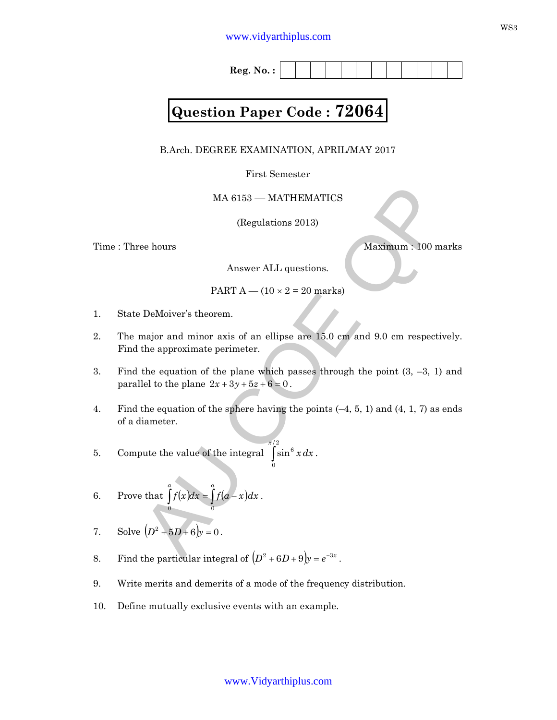**Reg. No. :**

# **Question Paper Code : 72064**

B.Arch. DEGREE EXAMINATION, APRIL/MAY 2017

First Semester

## MA 6153 –– MATHEMATICS

(Regulations 2013)

Time : Three hours Maximum : 100 marks

Answer ALL questions.

PART  $A - (10 \times 2 = 20 \text{ marks})$ 

- 1. State DeMoiver's theorem.
- 2. The major and minor axis of an ellipse are 15.0 cm and 9.0 cm respectively. Find the approximate perimeter.
- 3. Find the equation of the plane which passes through the point  $(3, -3, 1)$  and parallel to the plane  $2x + 3y + 5z + 6 = 0$ .
- MA 6153 MATHEMATICS<br>
(Regulations 2013)<br>
ee hours<br>
Answer ALL questions.<br>
Answer ALL questions.<br>
PART A (10 × 2 = 20 marks)<br>
DeMoiver's theorem.<br>
major and minor axis of an ellipse are 15.0 cm and 9.0 cm respectively. 4. Find the equation of the sphere having the points (–4, 5, 1) and (4, 1, 7) as ends of a diameter.
- 5. Compute the value of the integral ∫ 2/ 0  $\int \sin^6 x \, dx$ .
- 6. Prove that  $\int f(x)dx = \int f(a-x)dx$ *a a*  $f(x)dx = \int f(a-x)dx$ 0 0 .
- 7. Solve  $(D^2 + 5D + 6)y = 0$ .
- 8. Find the particular integral of  $(D^2 + 6D + 9)y = e^{-3x}$ .
- 9. Write merits and demerits of a mode of the frequency distribution.
- 10. Define mutually exclusive events with an example.

www.Vidyarthiplus.com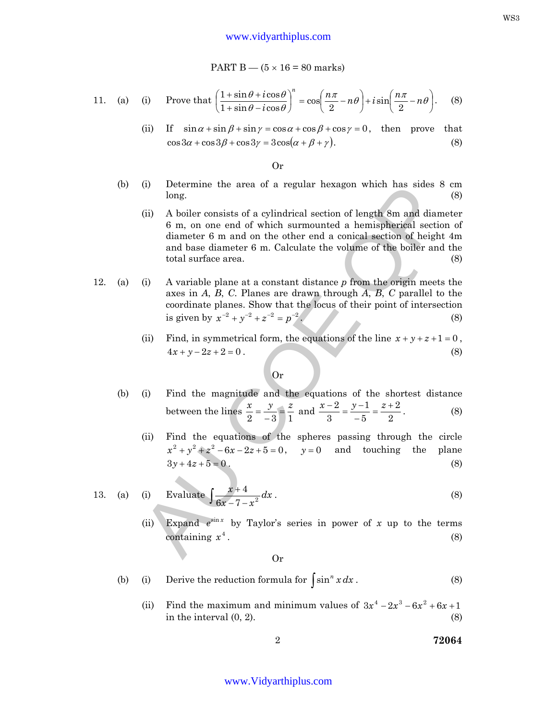#### www.vidyarthiplus.com

PART  $B - (5 \times 16 = 80$  marks)

11. (a) (i) Prove that 
$$
\left(\frac{1+\sin\theta+i\cos\theta}{1+\sin\theta-i\cos\theta}\right)^n = \cos\left(\frac{n\pi}{2}-n\theta\right)+i\sin\left(\frac{n\pi}{2}-n\theta\right).
$$
 (8)

(ii) If  $\sin \alpha + \sin \beta + \sin \gamma = \cos \alpha + \cos \beta + \cos \gamma = 0$ , then prove that  $\cos 3\alpha + \cos 3\beta + \cos 3\gamma = 3\cos(\alpha + \beta + \gamma).$  (8)

Or

- (b) (i) Determine the area of a regular hexagon which has sides 8 cm  $\log.$  (8)
	- (i) A boiler consists of a eguiar nexagon which has sides 8 cm<br>
	(ii) A boiler consists of a cylindrical section of length 8m and diameter<br>
	(ii) A boiler consists of a cylindrical section of length 8m and diameter<br>
	diamete (ii) A boiler consists of a cylindrical section of length 8m and diameter 6 m, on one end of which surmounted a hemispherical section of diameter 6 m and on the other end a conical section of height 4m and base diameter 6 m. Calculate the volume of the boiler and the total surface area. (8)
- 12. (a) (i) A variable plane at a constant distance *p* from the origin meets the axes in *A*, *B*, *C*. Planes are drawn through *A*, *B*, *C* parallel to the coordinate planes. Show that the locus of their point of intersection  $\sin y \sin y^2 + y^{-2} + z^{-2} = p^{-2}$ . (8)
	- (ii) Find, in symmetrical form, the equations of the line  $x + y + z + 1 = 0$ ,  $4x + y - 2z + 2 = 0$  . (8)

### Or

- (b) (i) Find the magnitude and the equations of the shortest distance between the lines  $2 \quad -3 \quad 1$  $\frac{x}{2} = \frac{y}{2} = \frac{z}{4}$  $=\frac{y}{-3}=\frac{z}{1}$  and 2 2 5 1 3  $\frac{2}{z} = \frac{y-1}{z} = \frac{z+1}{z-2}$ −  $\frac{x-2}{2} = \frac{y-1}{2} = \frac{z}{2}$ . (8)
	- (ii) Find the equations of the spheres passing through the circle  $x^2 + y^2 + z^2 - 6x - 2z + 5 = 0$ ,  $y = 0$  and touching the plane  $3y + 4z + 5 = 0$ . (8)

13. (a) (i) Evaluate 
$$
\int \frac{x+4}{6x-7-x^2} dx
$$
. (8)

(ii) Expand  $e^{\sin x}$  by Taylor's series in power of *x* up to the terms containing  $x^4$ .  $x^4$ . (8)

Or

- (b) (i) Derive the reduction formula for  $\int \sin^n x \, dx$ . (8)
	- (ii) Find the maximum and minimum values of  $3x^4 2x^3 6x^2 + 6x + 1$ in the interval  $(0, 2)$ .  $(8)$

WS3

## www.Vidyarthiplus.com

2 **72064**